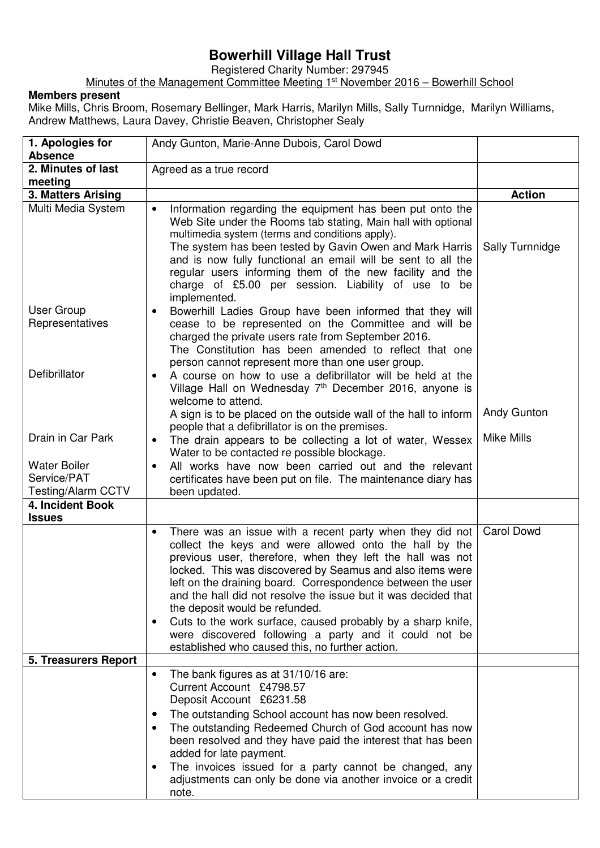## **Bowerhill Village Hall Trust**

Registered Charity Number: 297945

Minutes of the Management Committee Meeting 1<sup>st</sup> November 2016 – Bowerhill School

## **Members present**

Mike Mills, Chris Broom, Rosemary Bellinger, Mark Harris, Marilyn Mills, Sally Turnnidge, Marilyn Williams, Andrew Matthews, Laura Davey, Christie Beaven, Christopher Sealy

| 1. Apologies for<br><b>Absence</b>                              | Andy Gunton, Marie-Anne Dubois, Carol Dowd                                                                                                                                                                                                                                                                                                                                                                                                                                                                                                                                                                           |                   |
|-----------------------------------------------------------------|----------------------------------------------------------------------------------------------------------------------------------------------------------------------------------------------------------------------------------------------------------------------------------------------------------------------------------------------------------------------------------------------------------------------------------------------------------------------------------------------------------------------------------------------------------------------------------------------------------------------|-------------------|
| 2. Minutes of last                                              | Agreed as a true record                                                                                                                                                                                                                                                                                                                                                                                                                                                                                                                                                                                              |                   |
| meeting                                                         |                                                                                                                                                                                                                                                                                                                                                                                                                                                                                                                                                                                                                      |                   |
| 3. Matters Arising                                              |                                                                                                                                                                                                                                                                                                                                                                                                                                                                                                                                                                                                                      | <b>Action</b>     |
| Multi Media System                                              | Information regarding the equipment has been put onto the<br>$\bullet$<br>Web Site under the Rooms tab stating, Main hall with optional<br>multimedia system (terms and conditions apply).<br>The system has been tested by Gavin Owen and Mark Harris<br>and is now fully functional an email will be sent to all the<br>regular users informing them of the new facility and the<br>charge of £5.00 per session. Liability of use to be<br>implemented.                                                                                                                                                            | Sally Turnnidge   |
| User Group<br>Representatives                                   | Bowerhill Ladies Group have been informed that they will<br>$\bullet$<br>cease to be represented on the Committee and will be<br>charged the private users rate from September 2016.<br>The Constitution has been amended to reflect that one<br>person cannot represent more than one user group.                                                                                                                                                                                                                                                                                                                   |                   |
| Defibrillator                                                   | A course on how to use a defibrillator will be held at the<br>Village Hall on Wednesday 7 <sup>th</sup> December 2016, anyone is<br>welcome to attend.<br>A sign is to be placed on the outside wall of the hall to inform<br>people that a defibrillator is on the premises.                                                                                                                                                                                                                                                                                                                                        | Andy Gunton       |
| Drain in Car Park                                               | The drain appears to be collecting a lot of water, Wessex<br>$\bullet$<br>Water to be contacted re possible blockage.                                                                                                                                                                                                                                                                                                                                                                                                                                                                                                | <b>Mike Mills</b> |
| <b>Water Boiler</b><br>Service/PAT<br><b>Testing/Alarm CCTV</b> | All works have now been carried out and the relevant<br>certificates have been put on file. The maintenance diary has<br>been updated.                                                                                                                                                                                                                                                                                                                                                                                                                                                                               |                   |
| 4. Incident Book<br><b>Issues</b>                               |                                                                                                                                                                                                                                                                                                                                                                                                                                                                                                                                                                                                                      |                   |
|                                                                 | There was an issue with a recent party when they did not<br>$\bullet$<br>collect the keys and were allowed onto the hall by the<br>previous user, therefore, when they left the hall was not<br>locked. This was discovered by Seamus and also items were<br>left on the draining board. Correspondence between the user<br>and the hall did not resolve the issue but it was decided that<br>the deposit would be refunded.<br>Cuts to the work surface, caused probably by a sharp knife,<br>$\bullet$<br>were discovered following a party and it could not be<br>established who caused this, no further action. | <b>Carol Dowd</b> |
| <b>5. Treasurers Report</b>                                     |                                                                                                                                                                                                                                                                                                                                                                                                                                                                                                                                                                                                                      |                   |
|                                                                 | The bank figures as at 31/10/16 are:<br>$\bullet$<br>Current Account £4798.57<br>Deposit Account £6231.58<br>The outstanding School account has now been resolved.<br>$\bullet$<br>The outstanding Redeemed Church of God account has now<br>$\bullet$<br>been resolved and they have paid the interest that has been<br>added for late payment.<br>The invoices issued for a party cannot be changed, any<br>$\bullet$<br>adjustments can only be done via another invoice or a credit<br>note.                                                                                                                     |                   |